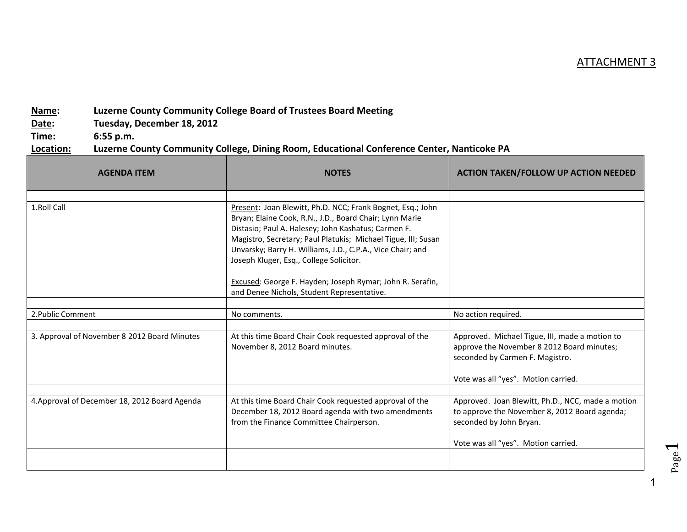## ATTACHMENT 3

## **Name: Luzerne County Community College Board of Trustees Board Meeting**

**Date: Tuesday, December 18, 2012**

**Time: 6:55 p.m.**

## **Location: Luzerne County Community College, Dining Room, Educational Conference Center, Nanticoke PA**

| <b>AGENDA ITEM</b>                            | <b>NOTES</b>                                                                                                                                                                                                                                                                                                                                           | <b>ACTION TAKEN/FOLLOW UP ACTION NEEDED</b>                                                                                                                            |
|-----------------------------------------------|--------------------------------------------------------------------------------------------------------------------------------------------------------------------------------------------------------------------------------------------------------------------------------------------------------------------------------------------------------|------------------------------------------------------------------------------------------------------------------------------------------------------------------------|
| 1.Roll Call                                   | Present: Joan Blewitt, Ph.D. NCC; Frank Bognet, Esq.; John<br>Bryan; Elaine Cook, R.N., J.D., Board Chair; Lynn Marie<br>Distasio; Paul A. Halesey; John Kashatus; Carmen F.<br>Magistro, Secretary; Paul Platukis; Michael Tigue, III; Susan<br>Unvarsky; Barry H. Williams, J.D., C.P.A., Vice Chair; and<br>Joseph Kluger, Esq., College Solicitor. |                                                                                                                                                                        |
|                                               | Excused: George F. Hayden; Joseph Rymar; John R. Serafin,<br>and Denee Nichols, Student Representative.                                                                                                                                                                                                                                                |                                                                                                                                                                        |
| 2. Public Comment                             | No comments.                                                                                                                                                                                                                                                                                                                                           | No action required.                                                                                                                                                    |
| 3. Approval of November 8 2012 Board Minutes  | At this time Board Chair Cook requested approval of the<br>November 8, 2012 Board minutes.                                                                                                                                                                                                                                                             | Approved. Michael Tigue, III, made a motion to<br>approve the November 8 2012 Board minutes;<br>seconded by Carmen F. Magistro.<br>Vote was all "yes". Motion carried. |
| 4. Approval of December 18, 2012 Board Agenda | At this time Board Chair Cook requested approval of the<br>December 18, 2012 Board agenda with two amendments<br>from the Finance Committee Chairperson.                                                                                                                                                                                               | Approved. Joan Blewitt, Ph.D., NCC, made a motion<br>to approve the November 8, 2012 Board agenda;<br>seconded by John Bryan.<br>Vote was all "yes". Motion carried.   |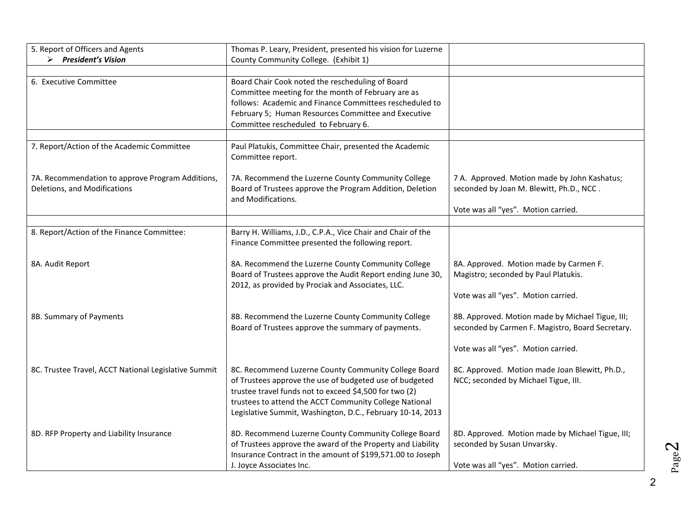| 5. Report of Officers and Agents                                                 | Thomas P. Leary, President, presented his vision for Luzerne                                                                                                                                                                                                                                      |                                                                                                                                             |
|----------------------------------------------------------------------------------|---------------------------------------------------------------------------------------------------------------------------------------------------------------------------------------------------------------------------------------------------------------------------------------------------|---------------------------------------------------------------------------------------------------------------------------------------------|
| $\triangleright$ President's Vision                                              | County Community College. (Exhibit 1)                                                                                                                                                                                                                                                             |                                                                                                                                             |
| 6. Executive Committee                                                           | Board Chair Cook noted the rescheduling of Board<br>Committee meeting for the month of February are as<br>follows: Academic and Finance Committees rescheduled to<br>February 5; Human Resources Committee and Executive<br>Committee rescheduled to February 6.                                  |                                                                                                                                             |
| 7. Report/Action of the Academic Committee                                       | Paul Platukis, Committee Chair, presented the Academic<br>Committee report.                                                                                                                                                                                                                       |                                                                                                                                             |
| 7A. Recommendation to approve Program Additions,<br>Deletions, and Modifications | 7A. Recommend the Luzerne County Community College<br>Board of Trustees approve the Program Addition, Deletion<br>and Modifications.                                                                                                                                                              | 7 A. Approved. Motion made by John Kashatus;<br>seconded by Joan M. Blewitt, Ph.D., NCC.<br>Vote was all "yes". Motion carried.             |
|                                                                                  |                                                                                                                                                                                                                                                                                                   |                                                                                                                                             |
| 8. Report/Action of the Finance Committee:                                       | Barry H. Williams, J.D., C.P.A., Vice Chair and Chair of the<br>Finance Committee presented the following report.                                                                                                                                                                                 |                                                                                                                                             |
| 8A. Audit Report                                                                 | 8A. Recommend the Luzerne County Community College<br>Board of Trustees approve the Audit Report ending June 30,<br>2012, as provided by Prociak and Associates, LLC.                                                                                                                             | 8A. Approved. Motion made by Carmen F.<br>Magistro; seconded by Paul Platukis.<br>Vote was all "yes". Motion carried.                       |
| 8B. Summary of Payments                                                          | 8B. Recommend the Luzerne County Community College<br>Board of Trustees approve the summary of payments.                                                                                                                                                                                          | 8B. Approved. Motion made by Michael Tigue, III;<br>seconded by Carmen F. Magistro, Board Secretary.<br>Vote was all "yes". Motion carried. |
| 8C. Trustee Travel, ACCT National Legislative Summit                             | 8C. Recommend Luzerne County Community College Board<br>of Trustees approve the use of budgeted use of budgeted<br>trustee travel funds not to exceed \$4,500 for two (2)<br>trustees to attend the ACCT Community College National<br>Legislative Summit, Washington, D.C., February 10-14, 2013 | 8C. Approved. Motion made Joan Blewitt, Ph.D.,<br>NCC; seconded by Michael Tigue, III.                                                      |
| 8D. RFP Property and Liability Insurance                                         | 8D. Recommend Luzerne County Community College Board<br>of Trustees approve the award of the Property and Liability<br>Insurance Contract in the amount of \$199,571.00 to Joseph<br>J. Joyce Associates Inc.                                                                                     | 8D. Approved. Motion made by Michael Tigue, III;<br>seconded by Susan Unvarsky.<br>Vote was all "yes". Motion carried.                      |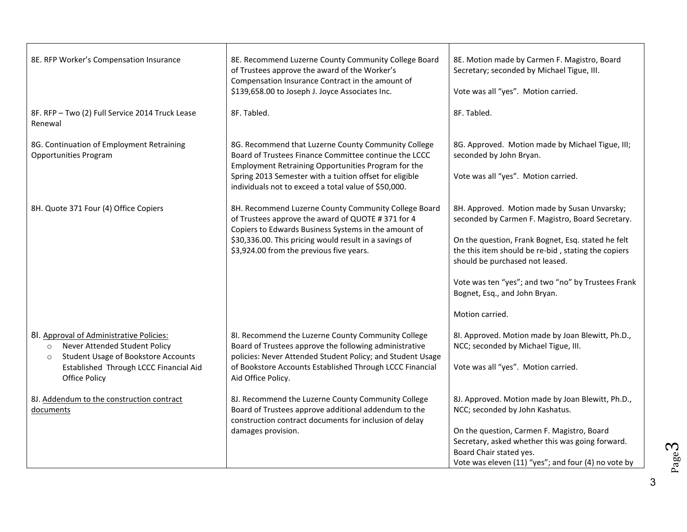| 8E. RFP Worker's Compensation Insurance                                                                                                       | 8E. Recommend Luzerne County Community College Board<br>of Trustees approve the award of the Worker's<br>Compensation Insurance Contract in the amount of<br>\$139,658.00 to Joseph J. Joyce Associates Inc.                                                                           | 8E. Motion made by Carmen F. Magistro, Board<br>Secretary; seconded by Michael Tigue, III.<br>Vote was all "yes". Motion carried.                                                |
|-----------------------------------------------------------------------------------------------------------------------------------------------|----------------------------------------------------------------------------------------------------------------------------------------------------------------------------------------------------------------------------------------------------------------------------------------|----------------------------------------------------------------------------------------------------------------------------------------------------------------------------------|
| 8F. RFP - Two (2) Full Service 2014 Truck Lease<br>Renewal                                                                                    | 8F. Tabled.                                                                                                                                                                                                                                                                            | 8F. Tabled.                                                                                                                                                                      |
| 8G. Continuation of Employment Retraining<br><b>Opportunities Program</b>                                                                     | 8G. Recommend that Luzerne County Community College<br>Board of Trustees Finance Committee continue the LCCC<br>Employment Retraining Opportunities Program for the<br>Spring 2013 Semester with a tuition offset for eligible<br>individuals not to exceed a total value of \$50,000. | 8G. Approved. Motion made by Michael Tigue, III;<br>seconded by John Bryan.<br>Vote was all "yes". Motion carried.                                                               |
| 8H. Quote 371 Four (4) Office Copiers                                                                                                         | 8H. Recommend Luzerne County Community College Board<br>of Trustees approve the award of QUOTE #371 for 4                                                                                                                                                                              | 8H. Approved. Motion made by Susan Unvarsky;<br>seconded by Carmen F. Magistro, Board Secretary.                                                                                 |
|                                                                                                                                               | Copiers to Edwards Business Systems in the amount of<br>\$30,336.00. This pricing would result in a savings of<br>\$3,924.00 from the previous five years.                                                                                                                             | On the question, Frank Bognet, Esq. stated he felt<br>the this item should be re-bid, stating the copiers<br>should be purchased not leased.                                     |
|                                                                                                                                               |                                                                                                                                                                                                                                                                                        | Vote was ten "yes"; and two "no" by Trustees Frank<br>Bognet, Esq., and John Bryan.                                                                                              |
|                                                                                                                                               |                                                                                                                                                                                                                                                                                        | Motion carried.                                                                                                                                                                  |
| 8l. Approval of Administrative Policies:<br>Never Attended Student Policy<br>$\circ$<br><b>Student Usage of Bookstore Accounts</b><br>$\circ$ | 8I. Recommend the Luzerne County Community College<br>Board of Trustees approve the following administrative<br>policies: Never Attended Student Policy; and Student Usage                                                                                                             | 8I. Approved. Motion made by Joan Blewitt, Ph.D.,<br>NCC; seconded by Michael Tigue, III.                                                                                        |
| Established Through LCCC Financial Aid<br><b>Office Policy</b>                                                                                | of Bookstore Accounts Established Through LCCC Financial<br>Aid Office Policy.                                                                                                                                                                                                         | Vote was all "yes". Motion carried.                                                                                                                                              |
| 8J. Addendum to the construction contract<br>documents                                                                                        | 8J. Recommend the Luzerne County Community College<br>Board of Trustees approve additional addendum to the<br>construction contract documents for inclusion of delay                                                                                                                   | 8J. Approved. Motion made by Joan Blewitt, Ph.D.,<br>NCC; seconded by John Kashatus.                                                                                             |
|                                                                                                                                               | damages provision.                                                                                                                                                                                                                                                                     | On the question, Carmen F. Magistro, Board<br>Secretary, asked whether this was going forward.<br>Board Chair stated yes.<br>Vote was eleven (11) "yes"; and four (4) no vote by |

3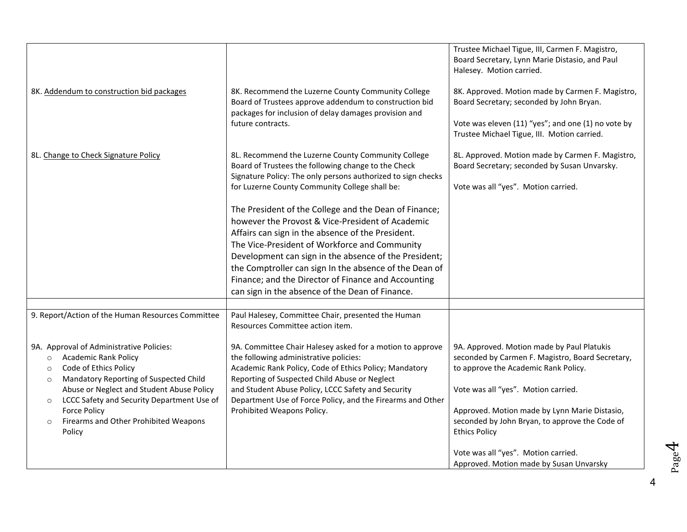|                                                                                                                                                                      |                                                                                                                                                                                                                             | Trustee Michael Tigue, III, Carmen F. Magistro,<br>Board Secretary, Lynn Marie Distasio, and Paul<br>Halesey. Motion carried.           |
|----------------------------------------------------------------------------------------------------------------------------------------------------------------------|-----------------------------------------------------------------------------------------------------------------------------------------------------------------------------------------------------------------------------|-----------------------------------------------------------------------------------------------------------------------------------------|
| 8K. Addendum to construction bid packages                                                                                                                            | 8K. Recommend the Luzerne County Community College<br>Board of Trustees approve addendum to construction bid<br>packages for inclusion of delay damages provision and<br>future contracts.                                  | 8K. Approved. Motion made by Carmen F. Magistro,<br>Board Secretary; seconded by John Bryan.                                            |
|                                                                                                                                                                      |                                                                                                                                                                                                                             | Vote was eleven (11) "yes"; and one (1) no vote by<br>Trustee Michael Tigue, III. Motion carried.                                       |
| 8L. Change to Check Signature Policy                                                                                                                                 | 8L. Recommend the Luzerne County Community College<br>Board of Trustees the following change to the Check<br>Signature Policy: The only persons authorized to sign checks<br>for Luzerne County Community College shall be: | 8L. Approved. Motion made by Carmen F. Magistro,<br>Board Secretary; seconded by Susan Unvarsky.<br>Vote was all "yes". Motion carried. |
|                                                                                                                                                                      | The President of the College and the Dean of Finance;<br>however the Provost & Vice-President of Academic<br>Affairs can sign in the absence of the President.                                                              |                                                                                                                                         |
|                                                                                                                                                                      | The Vice-President of Workforce and Community<br>Development can sign in the absence of the President;                                                                                                                      |                                                                                                                                         |
|                                                                                                                                                                      | the Comptroller can sign In the absence of the Dean of<br>Finance; and the Director of Finance and Accounting<br>can sign in the absence of the Dean of Finance.                                                            |                                                                                                                                         |
|                                                                                                                                                                      |                                                                                                                                                                                                                             |                                                                                                                                         |
| 9. Report/Action of the Human Resources Committee                                                                                                                    | Paul Halesey, Committee Chair, presented the Human<br>Resources Committee action item.                                                                                                                                      |                                                                                                                                         |
| 9A. Approval of Administrative Policies:<br>Academic Rank Policy<br>$\circ$<br>Code of Ethics Policy<br>$\circ$<br>Mandatory Reporting of Suspected Child<br>$\circ$ | 9A. Committee Chair Halesey asked for a motion to approve<br>the following administrative policies:<br>Academic Rank Policy, Code of Ethics Policy; Mandatory<br>Reporting of Suspected Child Abuse or Neglect              | 9A. Approved. Motion made by Paul Platukis<br>seconded by Carmen F. Magistro, Board Secretary,<br>to approve the Academic Rank Policy.  |
| Abuse or Neglect and Student Abuse Policy<br>LCCC Safety and Security Department Use of<br>$\circ$                                                                   | and Student Abuse Policy, LCCC Safety and Security<br>Department Use of Force Policy, and the Firearms and Other                                                                                                            | Vote was all "yes". Motion carried.                                                                                                     |
| <b>Force Policy</b><br>Firearms and Other Prohibited Weapons<br>$\circ$<br>Policy                                                                                    | Prohibited Weapons Policy.                                                                                                                                                                                                  | Approved. Motion made by Lynn Marie Distasio,<br>seconded by John Bryan, to approve the Code of<br><b>Ethics Policy</b>                 |
|                                                                                                                                                                      |                                                                                                                                                                                                                             | Vote was all "yes". Motion carried.<br>Approved. Motion made by Susan Unvarsky                                                          |

4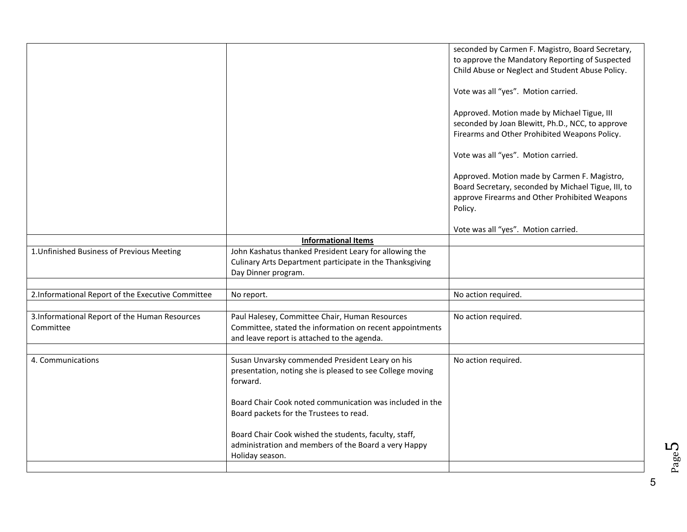|                                                   |                                                           | seconded by Carmen F. Magistro, Board Secretary,    |
|---------------------------------------------------|-----------------------------------------------------------|-----------------------------------------------------|
|                                                   |                                                           | to approve the Mandatory Reporting of Suspected     |
|                                                   |                                                           | Child Abuse or Neglect and Student Abuse Policy.    |
|                                                   |                                                           |                                                     |
|                                                   |                                                           | Vote was all "yes". Motion carried.                 |
|                                                   |                                                           |                                                     |
|                                                   |                                                           | Approved. Motion made by Michael Tigue, III         |
|                                                   |                                                           | seconded by Joan Blewitt, Ph.D., NCC, to approve    |
|                                                   |                                                           | Firearms and Other Prohibited Weapons Policy.       |
|                                                   |                                                           |                                                     |
|                                                   |                                                           |                                                     |
|                                                   |                                                           | Vote was all "yes". Motion carried.                 |
|                                                   |                                                           |                                                     |
|                                                   |                                                           | Approved. Motion made by Carmen F. Magistro,        |
|                                                   |                                                           | Board Secretary, seconded by Michael Tigue, III, to |
|                                                   |                                                           | approve Firearms and Other Prohibited Weapons       |
|                                                   |                                                           | Policy.                                             |
|                                                   |                                                           |                                                     |
|                                                   |                                                           | Vote was all "yes". Motion carried.                 |
|                                                   | <b>Informational Items</b>                                |                                                     |
| 1. Unfinished Business of Previous Meeting        | John Kashatus thanked President Leary for allowing the    |                                                     |
|                                                   | Culinary Arts Department participate in the Thanksgiving  |                                                     |
|                                                   | Day Dinner program.                                       |                                                     |
|                                                   |                                                           |                                                     |
| 2.Informational Report of the Executive Committee | No report.                                                | No action required.                                 |
|                                                   |                                                           |                                                     |
| 3. Informational Report of the Human Resources    | Paul Halesey, Committee Chair, Human Resources            | No action required.                                 |
| Committee                                         | Committee, stated the information on recent appointments  |                                                     |
|                                                   | and leave report is attached to the agenda.               |                                                     |
|                                                   |                                                           |                                                     |
| 4. Communications                                 | Susan Unvarsky commended President Leary on his           | No action required.                                 |
|                                                   | presentation, noting she is pleased to see College moving |                                                     |
|                                                   | forward.                                                  |                                                     |
|                                                   |                                                           |                                                     |
|                                                   | Board Chair Cook noted communication was included in the  |                                                     |
|                                                   |                                                           |                                                     |
|                                                   | Board packets for the Trustees to read.                   |                                                     |
|                                                   |                                                           |                                                     |
|                                                   | Board Chair Cook wished the students, faculty, staff,     |                                                     |
|                                                   | administration and members of the Board a very Happy      |                                                     |
|                                                   | Holiday season.                                           |                                                     |
|                                                   |                                                           |                                                     |

Page ம